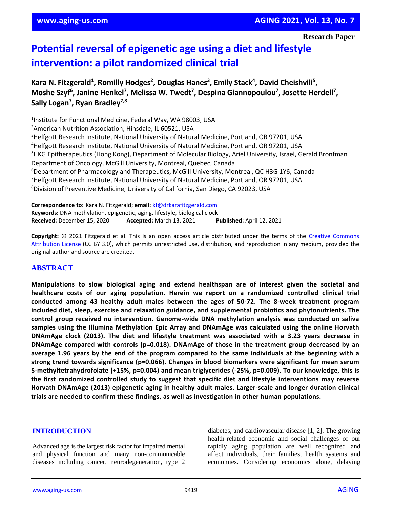**Research Paper**

# **Potential reversal of epigenetic age using a diet and lifestyle intervention: a pilot randomized clinical trial**

Kara N. Fitzgerald<sup>1</sup>, Romilly Hodges<sup>2</sup>, Douglas Hanes<sup>3</sup>, Emily Stack<sup>4</sup>, David Cheishvili<sup>5</sup>, **Moshe Szyf<sup>6</sup> , Janine Henkel<sup>7</sup> , Melissa W. Twedt<sup>7</sup> , Despina Giannopoulou<sup>7</sup> , Josette Herdell<sup>7</sup> , Sally Logan<sup>7</sup> , Ryan Bradley7,8**

<sup>1</sup>Institute for Functional Medicine, Federal Way, WA 98003, USA <sup>2</sup> American Nutrition Association, Hinsdale, IL 60521, USA <sup>3</sup>Helfgott Research Institute, National University of Natural Medicine, Portland, OR 97201, USA <sup>4</sup>Helfgott Research Institute, National University of Natural Medicine, Portland, OR 97201, USA <sup>5</sup>HKG Epitherapeutics (Hong Kong), Department of Molecular Biology, Ariel University, Israel, Gerald Bronfman Department of Oncology, McGill University, Montreal, Quebec, Canada <sup>6</sup>Department of Pharmacology and Therapeutics, McGill University, Montreal, QC H3G 1Y6, Canada <sup>7</sup>Helfgott Research Institute, National University of Natural Medicine, Portland, OR 97201, USA <sup>8</sup>Division of Preventive Medicine, University of California, San Diego, CA 92023, USA

**Correspondence to:** Kara N. Fitzgerald; **email:** [kf@drkarafitzgerald.com](mailto:kf@drkarafitzgerald.com) **Keywords:** DNA methylation, epigenetic, aging, lifestyle, biological clock **Received:** December 15, 2020 **Accepted:** March 13, 2021 **Published:** April 12, 2021

**Copyright:** © 2021 Fitzgerald et al. This is an open access article distributed under the terms of the [Creative Commons](https://creativecommons.org/licenses/by/3.0/)  [Attribution License](https://creativecommons.org/licenses/by/3.0/) (CC BY 3.0), which permits unrestricted use, distribution, and reproduction in any medium, provided the original author and source are credited.

## **ABSTRACT**

**Manipulations to slow biological aging and extend healthspan are of interest given the societal and healthcare costs of our aging population. Herein we report on a randomized controlled clinical trial conducted among 43 healthy adult males between the ages of 50-72. The 8-week treatment program included diet, sleep, exercise and relaxation guidance, and supplemental probiotics and phytonutrients. The control group received no intervention. Genome-wide DNA methylation analysis was conducted on saliva samples using the Illumina Methylation Epic Array and DNAmAge was calculated using the online Horvath DNAmAge clock (2013). The diet and lifestyle treatment was associated with a 3.23 years decrease in DNAmAge compared with controls (p=0.018). DNAmAge of those in the treatment group decreased by an** average 1.96 years by the end of the program compared to the same individuals at the beginning with a **strong trend towards significance (p=0.066). Changes in blood biomarkers were significant for mean serum 5-methyltetrahydrofolate (+15%, p=0.004) and mean triglycerides (-25%, p=0.009). To our knowledge, this is the first randomized controlled study to suggest that specific diet and lifestyle interventions may reverse Horvath DNAmAge (2013) epigenetic aging in healthy adult males. Larger-scale and longer duration clinical trials are needed to confirm these findings, as well as investigation in other human populations.**

#### **INTRODUCTION**

Advanced age is the largest risk factor for impaired mental and physical function and many non-communicable diseases including cancer, neurodegeneration, type 2 diabetes, and cardiovascular disease [1, 2]. The growing health-related economic and social challenges of our rapidly aging population are well recognized and affect individuals, their families, health systems and economies. Considering economics alone, delaying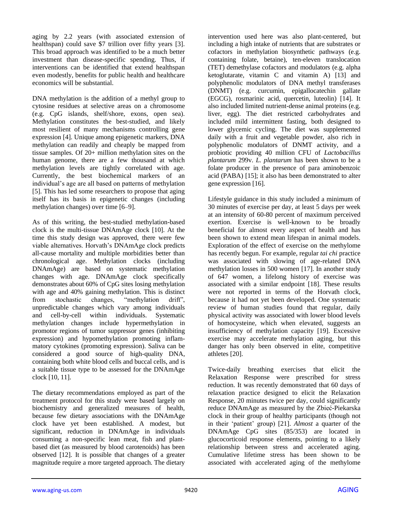aging by 2.2 years (with associated extension of healthspan) could save \$7 trillion over fifty years [3]. This broad approach was identified to be a much better investment than disease-specific spending. Thus, if interventions can be identified that extend healthspan even modestly, benefits for public health and healthcare economics will be substantial.

DNA methylation is the addition of a methyl group to cytosine residues at selective areas on a chromosome (e.g. CpG islands, shelf/shore, exons, open sea). Methylation constitutes the best-studied, and likely most resilient of many mechanisms controlling gene expression [4]. Unique among epigenetic markers, DNA methylation can readily and cheaply be mapped from tissue samples. Of 20+ million methylation sites on the human genome, there are a few thousand at which methylation levels are tightly correlated with age. Currently, the best biochemical markers of an individual's age are all based on patterns of methylation [5]. This has led some researchers to propose that aging itself has its basis in epigenetic changes (including methylation changes) over time [6–9].

As of this writing, the best-studied methylation-based clock is the multi-tissue DNAmAge clock [10]. At the time this study design was approved, there were few viable alternatives. Horvath's DNAmAge clock predicts all-cause mortality and multiple morbidities better than chronological age. Methylation clocks (including DNAmAge) are based on systematic methylation changes with age. DNAmAge clock specifically demonstrates about 60% of CpG sites losing methylation with age and 40% gaining methylation. This is distinct from stochastic changes, "methylation drift", unpredictable changes which vary among individuals and cell-by-cell within individuals. Systematic methylation changes include hypermethylation in promotor regions of tumor suppressor genes (inhibiting expression) and hypomethylation promoting inflammatory cytokines (promoting expression). Saliva can be considered a good source of high-quality DNA, containing both white blood cells and buccal cells, and is a suitable tissue type to be assessed for the DNAmAge clock [10, 11].

The dietary recommendations employed as part of the treatment protocol for this study were based largely on biochemistry and generalized measures of health, because few dietary associations with the DNAmAge clock have yet been established. A modest, but significant, reduction in DNAmAge in individuals consuming a non-specific lean meat, fish and plantbased diet (as measured by blood carotenoids) has been observed [12]. It is possible that changes of a greater magnitude require a more targeted approach. The dietary

intervention used here was also plant-centered, but including a high intake of nutrients that are substrates or cofactors in methylation biosynthetic pathways (e.g. containing folate, betaine), ten-eleven translocation (TET) demethylase cofactors and modulators (e.g. alpha ketoglutarate, vitamin C and vitamin A) [13] and polyphenolic modulators of DNA methyl transferases (DNMT) (e.g. curcumin, epigallocatechin gallate (EGCG), rosmarinic acid, quercetin, luteolin) [14]. It also included limited nutrient-dense animal proteins (e.g. liver, egg). The diet restricted carbohydrates and included mild intermittent fasting, both designed to lower glycemic cycling. The diet was supplemented daily with a fruit and vegetable powder, also rich in polyphenolic modulators of DNMT activity, and a probiotic providing 40 million CFU of *Lactobacillus plantarum* 299v. *L. plantarum* has been shown to be a folate producer in the presence of para aminobenzoic acid (PABA) [15]; it also has been demonstrated to alter gene expression [16].

Lifestyle guidance in this study included a minimum of 30 minutes of exercise per day, at least 5 days per week at an intensity of 60-80 percent of maximum perceived exertion. Exercise is well-known to be broadly beneficial for almost every aspect of health and has been shown to extend mean lifespan in animal models. Exploration of the effect of exercise on the methylome has recently begun. For example, regular *tai chi* practice was associated with slowing of age-related DNA methylation losses in 500 women [17]. In another study of 647 women, a lifelong history of exercise was associated with a similar endpoint [18]. These results were not reported in terms of the Horvath clock, because it had not yet been developed. One systematic review of human studies found that regular, daily physical activity was associated with lower blood levels of homocysteine, which when elevated, suggests an insufficiency of methylation capacity [19]. Excessive exercise may accelerate methylation aging, but this danger has only been observed in elite, competitive athletes [20].

Twice-daily breathing exercises that elicit the Relaxation Response were prescribed for stress reduction. It was recently demonstrated that 60 days of relaxation practice designed to elicit the Relaxation Response, 20 minutes twice per day, could significantly reduce DNAmAge as measured by the Zbieć-Piekarska clock in their group of healthy participants (though not in their 'patient' group) [21]. *Almost* a quarter of the DNAmAge CpG sites (85/353) are located in glucocorticoid response elements, pointing to a likely relationship between stress and accelerated aging. Cumulative lifetime stress has been shown to be associated with accelerated aging of the methylome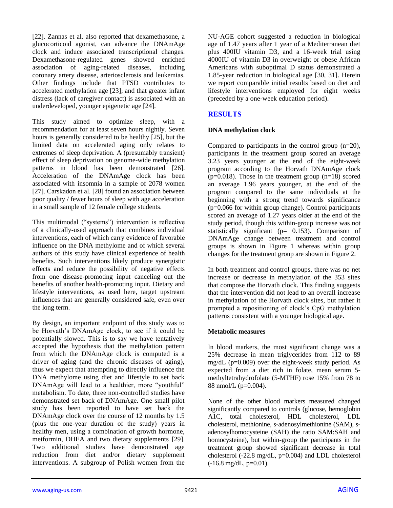[22]. Zannas et al. also reported that dexamethasone, a glucocorticoid agonist, can advance the DNAmAge clock and induce associated transcriptional changes. Dexamethasone-regulated genes showed enriched association of aging-related diseases, including coronary artery disease, arteriosclerosis and leukemias. Other findings include that PTSD contributes to accelerated methylation age [23]; and that greater infant distress (lack of caregiver contact) is associated with an underdeveloped, younger epigenetic age [24].

This study aimed to optimize sleep, with a recommendation for at least seven hours nightly. Seven hours is generally considered to be healthy [25], but the limited data on accelerated aging only relates to extremes of sleep deprivation. A (presumably transient) effect of sleep deprivation on genome-wide methylation patterns in blood has been demonstrated [26]. Acceleration of the DNAmAge clock has been associated with insomnia in a sample of 2078 women [27]. Carskadon et al. [28] found an association between poor quality / fewer hours of sleep with age acceleration in a small sample of 12 female college students.

This multimodal ("systems") intervention is reflective of a clinically-used approach that combines individual interventions, each of which carry evidence of favorable influence on the DNA methylome and of which several authors of this study have clinical experience of health benefits. Such interventions likely produce synergistic effects and reduce the possibility of negative effects from one disease-promoting input canceling out the benefits of another health-promoting input. Dietary and lifestyle interventions, as used here, target upstream influences that are generally considered safe, even over the long term.

By design, an important endpoint of this study was to be Horvath's DNAmAge clock, to see if it could be potentially slowed. This is to say we have tentatively accepted the hypothesis that the methylation pattern from which the DNAmAge clock is computed is a driver of aging (and the chronic diseases of aging), thus we expect that attempting to directly influence the DNA methylome using diet and lifestyle to set back DNAmAge will lead to a healthier, more "youthful" metabolism. To date, three non-controlled studies have demonstrated set back of DNAmAge. One small pilot study has been reported to have set back the DNAmAge clock over the course of 12 months by 1.5 (plus the one-year duration of the study) years in healthy men, using a combination of growth hormone, metformin, DHEA and two dietary supplements [29]. Two additional studies have demonstrated age reduction from diet and/or dietary supplement interventions. A subgroup of Polish women from the

NU-AGE cohort suggested a reduction in biological age of 1.47 years after 1 year of a Mediterranean diet plus 400IU vitamin D3, and a 16-week trial using 4000IU of vitamin D3 in overweight or obese African Americans with suboptimal D status demonstrated a 1.85-year reduction in biological age [30, 31]. Herein we report comparable initial results based on diet and lifestyle interventions employed for eight weeks (preceded by a one-week education period).

# **RESULTS**

## **DNA methylation clock**

Compared to participants in the control group (n=20), participants in the treatment group scored an average 3.23 years younger at the end of the eight-week program according to the Horvath DNAmAge clock ( $p=0.018$ ). Those in the treatment group ( $n=18$ ) scored an average 1.96 years younger, at the end of the program compared to the same individuals at the beginning with a strong trend towards significance (p=0.066 for within group change). Control participants scored an average of 1.27 years older at the end of the study period, though this within-group increase was not statistically significant (p= 0.153). Comparison of DNAmAge change between treatment and control groups is shown in Figure 1 whereas within group changes for the treatment group are shown in Figure 2.

In both treatment and control groups, there was no net increase or decrease in methylation of the 353 sites that compose the Horvath clock. This finding suggests that the intervention did not lead to an overall increase in methylation of the Horvath clock sites, but rather it prompted a repositioning of clock's CpG methylation patterns consistent with a younger biological age.

## **Metabolic measures**

In blood markers, the most significant change was a 25% decrease in mean triglycerides from 112 to 89 mg/dL (p=0.009) over the eight-week study period. As expected from a diet rich in folate, mean serum 5 methyltetrahydrofolate (5-MTHF) rose 15% from 78 to 88 nmol/L (p=0.004).

None of the other blood markers measured changed significantly compared to controls (glucose, hemoglobin A1C, total cholesterol, HDL cholesterol, LDL cholesterol, methionine, s-adenosylmethionine (SAM), sadenosylhomocysteine (SAH) the ratio SAM:SAH and homocysteine), but within-group the participants in the treatment group showed significant decrease in total cholesterol (-22.8 mg/dL, p=0.004) and LDL cholesterol  $(-16.8 \text{ mg/dL}, \text{p=0.01}).$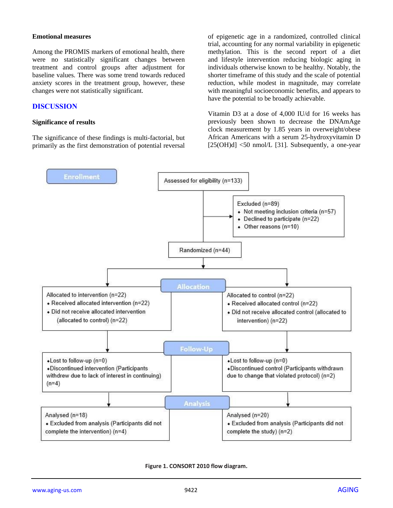#### **Emotional measures**

Among the PROMIS markers of emotional health, there were no statistically significant changes between treatment and control groups after adjustment for baseline values. There was some trend towards reduced anxiety scores in the treatment group, however, these changes were not statistically significant.

## **DISCUSSION**

#### **Significance of results**

The significance of these findings is multi-factorial, but primarily as the first demonstration of potential reversal of epigenetic age in a randomized, controlled clinical trial, accounting for any normal variability in epigenetic methylation. This is the second report of a diet and lifestyle intervention reducing biologic aging in individuals otherwise known to be healthy. Notably, the shorter timeframe of this study and the scale of potential reduction, while modest in magnitude, may correlate with meaningful socioeconomic benefits, and appears to have the potential to be broadly achievable.

Vitamin D3 at a dose of 4,000 IU/d for 16 weeks has previously been shown to decrease the DNAmAge clock measurement by 1.85 years in overweight/obese African Americans with a serum 25-hydroxyvitamin D  $[25(OH)d]$  <50 nmol/L [31]. Subsequently, a one-year



**Figure 1. CONSORT 2010 flow diagram.**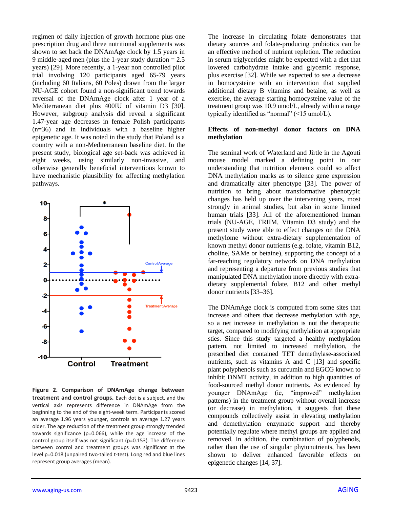regimen of daily injection of growth hormone plus one prescription drug and three nutritional supplements was shown to set back the DNAmAge clock by 1.5 years in 9 middle-aged men (plus the 1-year study duration = 2.5 years) [29]. More recently, a 1-year non controlled pilot trial involving 120 participants aged 65-79 years (including 60 Italians, 60 Poles) drawn from the larger NU-AGE cohort found a non-significant trend towards reversal of the DNAmAge clock after 1 year of a Mediterranean diet plus 400IU of vitamin D3 [30]. However, subgroup analysis did reveal a significant 1.47-year age decreases in female Polish participants (n=36) and in individuals with a baseline higher epigenetic age. It was noted in the study that Poland is a country with a non-Mediterranean baseline diet. In the present study, biological age set-back was achieved in eight weeks, using similarly non-invasive, and otherwise generally beneficial interventions known to have mechanistic plausibility for affecting methylation pathways.



**Figure 2. Comparison of DNAmAge change between treatment and control groups.** Each dot is a subject, and the vertical axis represents difference in DNAmAge from the beginning to the end of the eight-week term. Participants scored an average 1.96 years younger, controls an average 1.27 years older. The age reduction of the treatment group strongly trended towards significance (p=0.066), while the age increase of the control group itself was not significant (p=0.153). The difference between control and treatment groups was significant at the level p=0.018 (unpaired two-tailed t-test). Long red and blue lines represent group averages (mean).

The increase in circulating folate demonstrates that dietary sources and folate-producing probiotics can be an effective method of nutrient repletion. The reduction in serum triglycerides might be expected with a diet that lowered carbohydrate intake and glycemic response, plus exercise [32]. While we expected to see a decrease in homocysteine with an intervention that supplied additional dietary B vitamins and betaine, as well as exercise, the average starting homocysteine value of the treatment group was 10.9 umol/L, already within a range typically identified as "normal" (<15 umol/L).

## **Effects of non-methyl donor factors on DNA methylation**

The seminal work of Waterland and Jirtle in the Agouti mouse model marked a defining point in our understanding that nutrition elements could so affect DNA methylation marks as to silence gene expression and dramatically alter phenotype [33]. The power of nutrition to bring about transformative phenotypic changes has held up over the intervening years, most strongly in animal studies, but also in some limited human trials [33]. All of the aforementioned human trials (NU-AGE, TRIIM, Vitamin D3 study) and the present study were able to effect changes on the DNA methylome without extra-dietary supplementation of known methyl donor nutrients (e.g. folate, vitamin B12, choline, SAMe or betaine), supporting the concept of a far-reaching regulatory network on DNA methylation and representing a departure from previous studies that manipulated DNA methylation more directly with extradietary supplemental folate, B12 and other methyl donor nutrients [33–36].

The DNAmAge clock is computed from some sites that increase and others that decrease methylation with age, so a net increase in methylation is not the therapeutic target, compared to modifying methylation at appropriate sties. Since this study targeted a healthy methylation pattern, not limited to increased methylation, the prescribed diet contained TET demethylase-associated nutrients, such as vitamins A and C [13] and specific plant polyphenols such as curcumin and EGCG known to inhibit DNMT activity, in addition to high quantities of food-sourced methyl donor nutrients. As evidenced by younger DNAmAge (ie, "improved" methylation patterns) in the treatment group without overall increase (or decrease) in methylation, it suggests that these compounds collectively assist in elevating methylation and demethylation enzymatic support and thereby potentially regulate where methyl groups are applied and removed. In addition, the combination of polyphenols, rather than the use of singular phytonutrients, has been shown to deliver enhanced favorable effects on epigenetic changes [14, 37].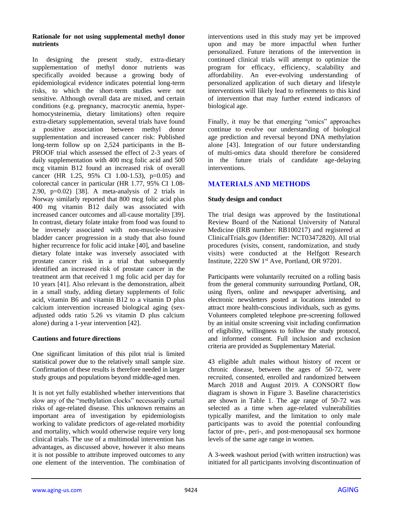#### **Rationale for not using supplemental methyl donor nutrients**

In designing the present study, extra-dietary supplementation of methyl donor nutrients was specifically avoided because a growing body of epidemiological evidence indicates potential long-term risks, to which the short-term studies were not sensitive. Although overall data are mixed, and certain conditions (e.g. pregnancy, macrocytic anemia, hyperhomocysteinemia, dietary limitations) often require extra-dietary supplementation, several trials have found a positive association between methyl donor supplementation and increased cancer risk: Published long-term follow up on 2,524 participants in the B-PROOF trial which assessed the effect of 2-3 years of daily supplementation with 400 mcg folic acid and 500 mcg vitamin B12 found an increased risk of overall cancer (HR 1.25, 95% CI 1.00-1.53), p=0.05) and colorectal cancer in particular (HR 1.77, 95% CI 1.08- 2.90,  $p=0.02$ ) [38]. A meta-analysis of 2 trials in Norway similarly reported that 800 mcg folic acid plus 400 mg vitamin B12 daily was associated with increased cancer outcomes and all-cause mortality [39]. In contrast, dietary folate intake from food was found to be inversely associated with non-muscle-invasive bladder cancer progression in a study that also found higher recurrence for folic acid intake [40], and baseline dietary folate intake was inversely associated with prostate cancer risk in a trial that subsequently identified an increased risk of prostate cancer in the treatment arm that received 1 mg folic acid per day for 10 years [41]. Also relevant is the demonstration, albeit in a small study, adding dietary supplements of folic acid, vitamin B6 and vitamin B12 to a vitamin D plus calcium intervention increased biological aging (sexadjusted odds ratio 5.26 vs vitamin D plus calcium alone) during a 1-year intervention [42].

## **Cautions and future directions**

One significant limitation of this pilot trial is limited statistical power due to the relatively small sample size. Confirmation of these results is therefore needed in larger study groups and populations beyond middle-aged men.

It is not yet fully established whether interventions that slow any of the "methylation clocks" necessarily curtail risks of age-related disease. This unknown remains an important area of investigation by epidemiologists working to validate predictors of age-related morbidity and mortality, which would otherwise require very long clinical trials. The use of a multimodal intervention has advantages, as discussed above, however it also means it is not possible to attribute improved outcomes to any one element of the intervention. The combination of

interventions used in this study may yet be improved upon and may be more impactful when further personalized. Future iterations of the intervention in continued clinical trials will attempt to optimize the program for efficacy, efficiency, scalability and affordability. An ever-evolving understanding of personalized application of such dietary and lifestyle interventions will likely lead to refinements to this kind of intervention that may further extend indicators of biological age.

Finally, it may be that emerging "omics" approaches continue to evolve our understanding of biological age prediction and reversal beyond DNA methylation alone [43]. Integration of our future understanding of multi-omics data should therefore be considered in the future trials of candidate age-delaying interventions.

# **MATERIALS AND METHODS**

## **Study design and conduct**

The trial design was approved by the Institutional Review Board of the National University of Natural Medicine (IRB number: RB100217) and registered at ClinicalTrials.gov (Identifier: NCT03472820). All trial procedures (visits, consent, randomization, and study visits) were conducted at the Helfgott Research Institute, 2220 SW 1st Ave, Portland, OR 97201.

Participants were voluntarily recruited on a rolling basis from the general community surrounding Portland, OR, using flyers, online and newspaper advertising, and electronic newsletters posted at locations intended to attract more health-conscious individuals, such as gyms. Volunteers completed telephone pre-screening followed by an initial onsite screening visit including confirmation of eligibility, willingness to follow the study protocol, and informed consent. Full inclusion and exclusion criteria are provided as Supplementary Material.

43 eligible adult males without history of recent or chronic disease, between the ages of 50-72, were recruited, consented, enrolled and randomized between March 2018 and August 2019. A CONSORT flow diagram is shown in Figure 3. Baseline characteristics are shown in Table 1. The age range of 50-72 was selected as a time when age-related vulnerabilities typically manifest, and the limitation to only male participants was to avoid the potential confounding factor of pre-, peri-, and post-menopausal sex hormone levels of the same age range in women.

A 3-week washout period (with written instruction) was initiated for all participants involving discontinuation of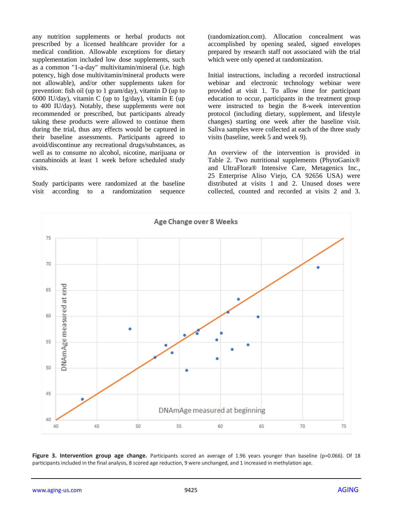any nutrition supplements or herbal products not prescribed by a licensed healthcare provider for a medical condition. Allowable exceptions for dietary supplementation included low dose supplements, such as a common "1-a-day" multivitamin/mineral (i.e. high potency, high dose multivitamin/mineral products were not allowable), and/or other supplements taken for prevention: fish oil (up to 1 gram/day), vitamin D (up to 6000 IU/day), vitamin C (up to 1g/day), vitamin E (up to 400 IU/day). Notably, these supplements were not recommended or prescribed, but participants already taking these products were allowed to continue them during the trial, thus any effects would be captured in their baseline assessments. Participants agreed to avoid/discontinue any recreational drugs/substances, as well as to consume no alcohol, nicotine, marijuana or cannabinoids at least 1 week before scheduled study visits.

Study participants were randomized at the baseline visit according to a randomization sequence (randomization.com). Allocation concealment was accomplished by opening sealed, signed envelopes prepared by research staff not associated with the trial which were only opened at randomization.

Initial instructions, including a recorded instructional webinar and electronic technology webinar were provided at visit 1. To allow time for participant education to occur, participants in the treatment group were instructed to begin the 8-week intervention protocol (including dietary, supplement, and lifestyle changes) starting one week after the baseline visit. Saliva samples were collected at each of the three study visits (baseline, week 5 and week 9).

An overview of the intervention is provided in Table 2. Two nutritional supplements (PhytoGanix® and UltraFlora® Intensive Care, Metagenics Inc., 25 Enterprise Aliso Viejo, CA 92656 USA) were distributed at visits 1 and 2. Unused doses were collected, counted and recorded at visits 2 and 3.



**Figure 3. Intervention group age change.** Participants scored an average of 1.96 years younger than baseline (p=0.066). Of 18 participants included in the final analysis, 8 scored age reduction, 9 were unchanged, and 1 increased in methylation age.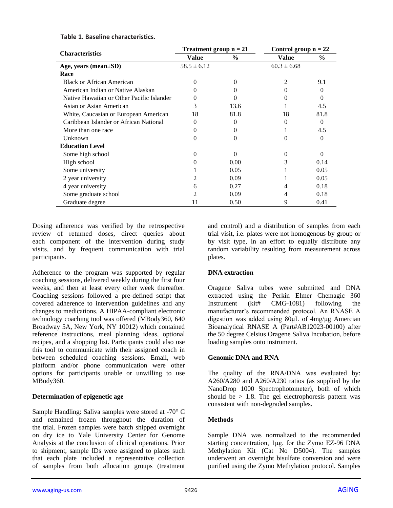|                                           | Treatment group $n = 21$ |                   | Control group $n = 22$ |          |
|-------------------------------------------|--------------------------|-------------------|------------------------|----------|
| <b>Characteristics</b>                    | Value                    | $\frac{0}{0}$     | Value                  | $\%$     |
| Age, years (mean±SD)                      | $58.5 \pm 6.12$          |                   | $60.3 \pm 6.68$        |          |
| Race                                      |                          |                   |                        |          |
| <b>Black or African American</b>          | 0                        | $\Omega$          | $\mathcal{L}$          | 9.1      |
| American Indian or Native Alaskan         |                          |                   | $\Omega$               | $\Omega$ |
| Native Hawaiian or Other Pacific Islander |                          | $\Omega$          |                        | 0        |
| Asian or Asian American                   | 3                        | 13.6              |                        | 4.5      |
| White, Caucasian or European American     | 18                       | 81.8              | 18                     | 81.8     |
| Caribbean Islander or African National    | $\Omega$                 | $\Omega$          | $\Omega$               | 0        |
| More than one race                        |                          | $\mathbf{\Omega}$ |                        | 4.5      |
| Unknown                                   | 0                        | $\Omega$          | $\Omega$               | $\Omega$ |
| <b>Education Level</b>                    |                          |                   |                        |          |
| Some high school                          | 0                        | 0                 | $\Omega$               | $\Omega$ |
| High school                               | 0                        | 0.00              | 3                      | 0.14     |
| Some university                           |                          | 0.05              |                        | 0.05     |
| 2 year university                         | 2                        | 0.09              |                        | 0.05     |
| 4 year university                         | 6                        | 0.27              | 4                      | 0.18     |
| Some graduate school                      | 2                        | 0.09              |                        | 0.18     |
| Graduate degree                           | 11                       | 0.50              | 9                      | 0.41     |

## **Table 1. Baseline characteristics.**

Dosing adherence was verified by the retrospective review of returned doses, direct queries about each component of the intervention during study visits, and by frequent communication with trial participants.

Adherence to the program was supported by regular coaching sessions, delivered weekly during the first four weeks, and then at least every other week thereafter. Coaching sessions followed a pre-defined script that covered adherence to intervention guidelines and any changes to medications. A HIPAA-compliant electronic technology coaching tool was offered (MBody360, 640 Broadway 5A, New York, NY 10012) which contained reference instructions, meal planning ideas, optional recipes, and a shopping list. Participants could also use this tool to communicate with their assigned coach in between scheduled coaching sessions. Email, web platform and/or phone communication were other options for participants unable or unwilling to use MBody360.

## **Determination of epigenetic age**

Sample Handling: Saliva samples were stored at -70° C and remained frozen throughout the duration of the trial. Frozen samples were batch shipped overnight on dry ice to Yale University Center for Genome Analysis at the conclusion of clinical operations. Prior to shipment, sample IDs were assigned to plates such that each plate included a representative collection of samples from both allocation groups (treatment

and control) and a distribution of samples from each trial visit, i.e. plates were not homogenous by group or by visit type, in an effort to equally distribute any random variability resulting from measurement across plates.

## **DNA extraction**

Oragene Saliva tubes were submitted and DNA extracted using the Perkin Elmer Chemagic 360 Instrument (kit# CMG-1081) following the manufacturer's recommended protocol. An RNASE A digestion was added using 80μL of 4mg/μg Amercian Bioanalytical RNASE A (Part#AB12023-00100) after the 50 degree Celsius Oragene Saliva Incubation, before loading samples onto instrument.

## **Genomic DNA and RNA**

The quality of the RNA/DNA was evaluated by: A260/A280 and A260/A230 ratios (as supplied by the NanoDrop 1000 Spectrophotometer), both of which should be  $> 1.8$ . The gel electrophoresis pattern was consistent with non-degraded samples.

## **Methods**

Sample DNA was normalized to the recommended starting concentration, 1μg, for the Zymo EZ-96 DNA Methylation Kit (Cat No D5004). The samples underwent an overnight bisulfate conversion and were purified using the Zymo Methylation protocol. Samples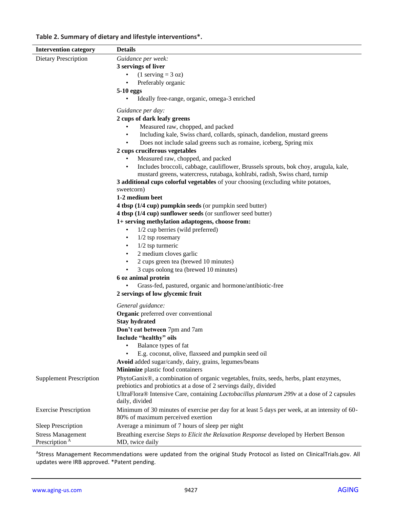# **Table 2. Summary of dietary and lifestyle interventions\*.**

| <b>Intervention category</b>   | <b>Details</b>                                                                                                                                                                  |
|--------------------------------|---------------------------------------------------------------------------------------------------------------------------------------------------------------------------------|
| <b>Dietary Prescription</b>    | Guidance per week:                                                                                                                                                              |
|                                | 3 servings of liver                                                                                                                                                             |
|                                | $(1$ serving = 3 oz)                                                                                                                                                            |
|                                | Preferably organic                                                                                                                                                              |
|                                | 5-10 eggs                                                                                                                                                                       |
|                                | Ideally free-range, organic, omega-3 enriched<br>٠                                                                                                                              |
|                                | Guidance per day:                                                                                                                                                               |
|                                | 2 cups of dark leafy greens                                                                                                                                                     |
|                                | Measured raw, chopped, and packed                                                                                                                                               |
|                                | Including kale, Swiss chard, collards, spinach, dandelion, mustard greens<br>$\bullet$                                                                                          |
|                                | Does not include salad greens such as romaine, iceberg, Spring mix<br>$\bullet$                                                                                                 |
|                                | 2 cups cruciferous vegetables                                                                                                                                                   |
|                                | Measured raw, chopped, and packed                                                                                                                                               |
|                                | Includes broccoli, cabbage, cauliflower, Brussels sprouts, bok choy, arugula, kale,<br>$\bullet$<br>mustard greens, watercress, rutabaga, kohlrabi, radish, Swiss chard, turnip |
|                                | 3 additional cups colorful vegetables of your choosing (excluding white potatoes,                                                                                               |
|                                | sweetcorn)                                                                                                                                                                      |
|                                | 1-2 medium beet                                                                                                                                                                 |
|                                | 4 tbsp (1/4 cup) pumpkin seeds (or pumpkin seed butter)                                                                                                                         |
|                                | 4 tbsp (1/4 cup) sunflower seeds (or sunflower seed butter)                                                                                                                     |
|                                | 1+ serving methylation adaptogens, choose from:                                                                                                                                 |
|                                | 1/2 cup berries (wild preferred)<br>٠                                                                                                                                           |
|                                | $1/2$ tsp rosemary<br>$\bullet$                                                                                                                                                 |
|                                | $1/2$ tsp turmeric<br>$\bullet$                                                                                                                                                 |
|                                | 2 medium cloves garlic<br>$\bullet$                                                                                                                                             |
|                                | 2 cups green tea (brewed 10 minutes)<br>$\bullet$                                                                                                                               |
|                                | 3 cups oolong tea (brewed 10 minutes)                                                                                                                                           |
|                                | 6 oz animal protein                                                                                                                                                             |
|                                | Grass-fed, pastured, organic and hormone/antibiotic-free                                                                                                                        |
|                                | 2 servings of low glycemic fruit                                                                                                                                                |
|                                | General guidance:                                                                                                                                                               |
|                                | Organic preferred over conventional                                                                                                                                             |
|                                | <b>Stay hydrated</b>                                                                                                                                                            |
|                                | Don't eat between 7pm and 7am                                                                                                                                                   |
|                                | Include "healthy" oils                                                                                                                                                          |
|                                | Balance types of fat                                                                                                                                                            |
|                                | E.g. coconut, olive, flaxseed and pumpkin seed oil                                                                                                                              |
|                                | Avoid added sugar/candy, dairy, grains, legumes/beans                                                                                                                           |
|                                | Minimize plastic food containers                                                                                                                                                |
| <b>Supplement Prescription</b> | PhytoGanix®, a combination of organic vegetables, fruits, seeds, herbs, plant enzymes,                                                                                          |
|                                | prebiotics and probiotics at a dose of 2 servings daily, divided                                                                                                                |
|                                | UltraFlora® Intensive Care, containing <i>Lactobacillus plantarum</i> 299v at a dose of 2 capsules                                                                              |
|                                | daily, divided                                                                                                                                                                  |
| <b>Exercise Prescription</b>   | Minimum of 30 minutes of exercise per day for at least 5 days per week, at an intensity of 60-<br>80% of maximum perceived exertion                                             |
| Sleep Prescription             | Average a minimum of 7 hours of sleep per night                                                                                                                                 |
| <b>Stress Management</b>       | Breathing exercise Steps to Elicit the Relaxation Response developed by Herbert Benson                                                                                          |
| Prescription <sup>A</sup>      | MD, twice daily                                                                                                                                                                 |

AStress Management Recommendations were updated from the original Study Protocol as listed on ClinicalTrials.gov. All updates were IRB approved. \*Patent pending.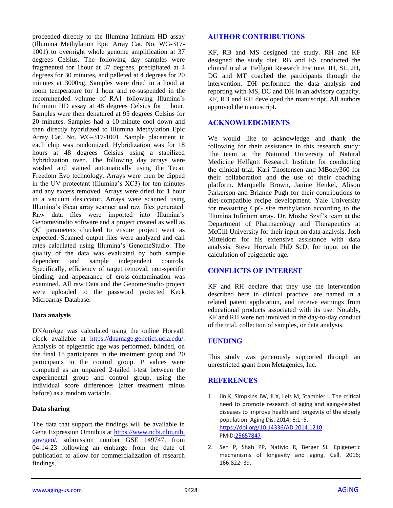proceeded directly to the Illumina Infinium HD assay (Illumina Methylation Epic Array Cat. No. WG-317- 1001) to overnight whole genome amplification at 37 degrees Celsius. The following day samples were fragmented for 1hour at 37 degrees, precipitated at 4 degrees for 30 minutes, and pelleted at 4 degrees for 20 minutes at 3000xg. Samples were dried in a hood at room temperature for 1 hour and re-suspended in the recommended volume of RA1 following Illumina's Infinium HD assay at 48 degrees Celsius for 1 hour. Samples were then denatured at 95 degrees Celsius for 20 minutes. Samples had a 10-minute cool down and then directly hybridized to Illumina Methylation Epic Array Cat. No. WG-317-1001. Sample placement in each chip was randomized. Hybridization was for 18 hours at 48 degrees Celsius using a stabilized hybridization oven. The following day arrays were washed and stained automatically using the Tecan Freedom Evo technology. Arrays were then be dipped in the UV protectant (Illumina's XC3) for ten minutes and any excess removed. Arrays were dried for 1 hour in a vacuum desiccator. Arrays were scanned using Illumina's iScan array scanner and raw files generated. Raw data files were imported into Illumina's GenomeStudio software and a project created as well as QC parameters checked to ensure project went as expected. Scanned output files were analyzed and call rates calculated using Illumina's GenomeStudio. The quality of the data was evaluated by both sample dependent and sample independent controls. Specifically, efficiency of target removal, non-specific binding, and appearance of cross-contamination was examined. All raw Data and the GenomeStudio project were uploaded to the password protected Keck Microarray Database.

## **Data analysis**

DNAmAge was calculated using the online Horvath clock available at [https://dnamage.genetics.ucla.edu/.](https://dnamage.genetics.ucla.edu/) Analysis of epigenetic age was performed, blinded, on the final 18 participants in the treatment group and 20 participants in the control group. P values were computed as an unpaired 2-tailed t-test between the experimental group and control group, using the individual score differences (after treatment minus before) as a random variable.

## **Data sharing**

The data that support the findings will be available in Gene Expression Omnibus at [https://www.ncbi.nlm.nih.](https://www.ncbi.nlm.nih.gov/geo/) [gov/geo/,](https://www.ncbi.nlm.nih.gov/geo/) submission number GSE 149747, from 04-14-23 following an embargo from the date of publication to allow for commercialization of research findings.

## **AUTHOR CONTRIBUTIONS**

KF, RB and MS designed the study. RH and KF designed the study diet. RB and ES conducted the clinical trial at Helfgott Research Institute. JH, SL, JH, DG and MT coached the participants through the intervention. DH performed the data analysis and reporting with MS, DC and DH in an advisory capacity. KF, RB and RH developed the manuscript. All authors approved the manuscript.

# **ACKNOWLEDGMENTS**

We would like to acknowledge and thank the following for their assistance in this research study: The team at the National University of Natural Medicine Helfgott Research Institute for conducting the clinical trial. Kari Thostensen and MBody360 for their collaboration and the use of their coaching platform. Marquelle Brown, Janine Henkel, Alison Parkerson and Brianne Pugh for their contributions to diet-compatible recipe development. Yale University for measuring CpG site methylation according to the Illumina Infinium array. Dr. Moshe Szyf's team at the Department of Pharmacology and Therapeutics at McGill University for their input on data analysis. Josh Mitteldorf for his extensive assistance with data analysis. Steve Horvath PhD ScD, for input on the calculation of epigenetic age.

## **CONFLICTS OF INTEREST**

KF and RH declare that they use the intervention described here in clinical practice, are named in a related patent application, and receive earnings from educational products associated with its use. Notably, KF and RH were not involved in the day-to-day conduct of the trial, collection of samples, or data analysis.

## **FUNDING**

This study was generously supported through an unrestricted grant from Metagenics, Inc.

## **REFERENCES**

- 1. Jin K, Simpkins JW, Ji X, Leis M, Stambler I. The critical need to promote research of aging and aging-related diseases to improve health and longevity of the elderly population. Aging Dis. 2014; 6:1–5. <https://doi.org/10.14336/AD.2014.1210> PMI[D:25657847](https://pubmed.ncbi.nlm.nih.gov/25657847)
- 2. Sen P, Shah PP, Nativio R, Berger SL. Epigenetic mechanisms of longevity and aging. Cell. 2016; 166:822–39.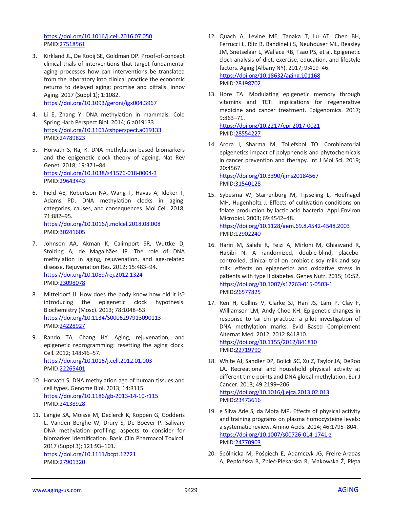<https://doi.org/10.1016/j.cell.2016.07.050> PMID[:27518561](https://pubmed.ncbi.nlm.nih.gov/27518561)

- 3. Kirkland JL, De Rooij SE, Goldman DP. Proof-of-concept clinical trials of interventions that target fundamental aging processes how can interventions be translated from the laboratory into clinical practice the economic returns to delayed aging: promise and pitfalls. Innov Aging. 2017 (Suppl 1); 1:1082. <https://doi.org/10.1093/geroni/igx004.3967>
- 4. Li E, Zhang Y. DNA methylation in mammals. Cold Spring Harb Perspect Biol. 2014; 6:a019133. <https://doi.org/10.1101/cshperspect.a019133> PMID[:24789823](https://pubmed.ncbi.nlm.nih.gov/24789823)
- 5. Horvath S, Raj K. DNA methylation-based biomarkers and the epigenetic clock theory of ageing. Nat Rev Genet. 2018; 19:371–84. <https://doi.org/10.1038/s41576-018-0004-3> PMID[:29643443](https://pubmed.ncbi.nlm.nih.gov/29643443)
- 6. Field AE, Robertson NA, Wang T, Havas A, Ideker T, Adams PD. DNA methylation clocks in aging: categories, causes, and consequences. Mol Cell. 2018; 71:882–95. <https://doi.org/10.1016/j.molcel.2018.08.008> PMID[:30241605](https://pubmed.ncbi.nlm.nih.gov/30241605)
- 7. Johnson AA, Akman K, Calimport SR, Wuttke D, Stolzing A, de Magalhães JP. The role of DNA methylation in aging, rejuvenation, and age-related disease. Rejuvenation Res. 2012; 15:483–94. <https://doi.org/10.1089/rej.2012.1324> PMID[:23098078](https://pubmed.ncbi.nlm.nih.gov/23098078)
- 8. Mitteldorf JJ. How does the body know how old it is? introducing the epigenetic clock hypothesis. Biochemistry (Mosc). 2013; 78:1048–53. <https://doi.org/10.1134/S0006297913090113> PMID[:24228927](https://pubmed.ncbi.nlm.nih.gov/24228927)
- 9. Rando TA, Chang HY. Aging, rejuvenation, and epigenetic reprogramming: resetting the aging clock. Cell. 2012; 148:46–57. <https://doi.org/10.1016/j.cell.2012.01.003> PMID[:22265401](https://pubmed.ncbi.nlm.nih.gov/22265401)
- 10. Horvath S. DNA methylation age of human tissues and cell types. Genome Biol. 2013; 14:R115. <https://doi.org/10.1186/gb-2013-14-10-r115> PMID[:24138928](https://pubmed.ncbi.nlm.nih.gov/24138928)
- 11. Langie SA, Moisse M, Declerck K, Koppen G, Godderis L, Vanden Berghe W, Drury S, De Boever P. Salivary DNA methylation profiling: aspects to consider for biomarker identification. Basic Clin Pharmacol Toxicol. 2017 (Suppl 3); 121:93–101. <https://doi.org/10.1111/bcpt.12721> PMID[:27901320](https://pubmed.ncbi.nlm.nih.gov/27901320)
- 12. Quach A, Levine ME, Tanaka T, Lu AT, Chen BH, Ferrucci L, Ritz B, Bandinelli S, Neuhouser ML, Beasley JM, Snetselaar L, Wallace RB, Tsao PS, et al. Epigenetic clock analysis of diet, exercise, education, and lifestyle factors. Aging (Albany NY). 2017; 9:419–46. <https://doi.org/10.18632/aging.101168> PMI[D:28198702](https://pubmed.ncbi.nlm.nih.gov/28198702)
- 13. Hore TA. Modulating epigenetic memory through vitamins and TET: implications for regenerative medicine and cancer treatment. Epigenomics. 2017; 9:863–71. <https://doi.org/10.2217/epi-2017-0021>

PMI[D:28554227](https://pubmed.ncbi.nlm.nih.gov/28554227)

- 14. Arora I, Sharma M, Tollefsbol TO. Combinatorial epigenetics impact of polyphenols and phytochemicals in cancer prevention and therapy. Int J Mol Sci. 2019; 20:4567. <https://doi.org/10.3390/ijms20184567> PMI[D:31540128](https://pubmed.ncbi.nlm.nih.gov/31540128)
- 15. Sybesma W, Starrenburg M, Tijsseling L, Hoefnagel MH, Hugenholtz J. Effects of cultivation conditions on folate production by lactic acid bacteria. Appl Environ Microbiol. 2003; 69:4542–48. <https://doi.org/10.1128/aem.69.8.4542-4548.2003> PMI[D:12902240](https://pubmed.ncbi.nlm.nih.gov/12902240)
- 16. Hariri M, Salehi R, Feizi A, Mirlohi M, Ghiasvand R, Habibi N. A randomized, double-blind, placebocontrolled, clinical trial on probiotic soy milk and soy milk: effects on epigenetics and oxidative stress in patients with type II diabetes. Genes Nutr. 2015; 10:52. <https://doi.org/10.1007/s12263-015-0503-1> PMI[D:26577825](https://pubmed.ncbi.nlm.nih.gov/26577825)
- 17. Ren H, Collins V, Clarke SJ, Han JS, Lam P, Clay F, Williamson LM, Andy Choo KH. Epigenetic changes in response to tai chi practice: a pilot investigation of DNA methylation marks. Evid Based Complement Alternat Med. 2012; 2012:841810.

```
https://doi.org/10.1155/2012/841810
PMID:22719790
```
- 18. White AJ, Sandler DP, Bolick SC, Xu Z, Taylor JA, DeRoo LA. Recreational and household physical activity at different time points and DNA global methylation. Eur J Cancer. 2013; 49:2199–206. <https://doi.org/10.1016/j.ejca.2013.02.013> PMI[D:23473616](https://pubmed.ncbi.nlm.nih.gov/23473616)
- 19. e Silva Ade S, da Mota MP. Effects of physical activity and training programs on plasma homocysteine levels: a systematic review. Amino Acids. 2014; 46:1795–804. <https://doi.org/10.1007/s00726-014-1741-z> PMI[D:24770903](https://pubmed.ncbi.nlm.nih.gov/24770903)
- 20. Spólnicka M, Pośpiech E, Adamczyk JG, Freire-Aradas A, Pepłońska B, Zbieć-Piekarska R, Makowska Ż, Pięta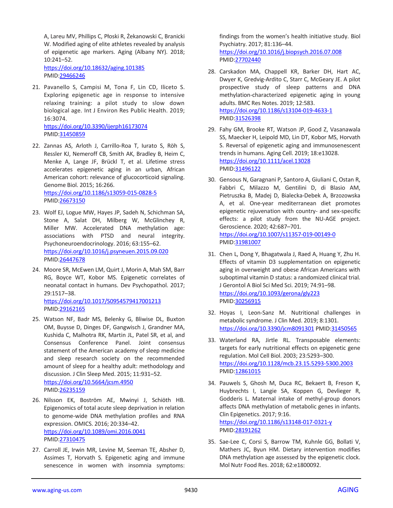A, Lareu MV, Phillips C, Płoski R, Żekanowski C, Branicki W. Modified aging of elite athletes revealed by analysis of epigenetic age markers. Aging (Albany NY). 2018; 10:241–52.

<https://doi.org/10.18632/aging.101385> PMID[:29466246](https://pubmed.ncbi.nlm.nih.gov/29466246)

21. Pavanello S, Campisi M, Tona F, Lin CD, Iliceto S. Exploring epigenetic age in response to intensive relaxing training: a pilot study to slow down biological age. Int J Environ Res Public Health. 2019; 16:3074. <https://doi.org/10.3390/ijerph16173074>

PMID[:31450859](https://pubmed.ncbi.nlm.nih.gov/31450859)

- 22. Zannas AS, Arloth J, Carrillo-Roa T, Iurato S, Röh S, Ressler KJ, Nemeroff CB, Smith AK, Bradley B, Heim C, Menke A, Lange JF, Brückl T, et al. Lifetime stress accelerates epigenetic aging in an urban, African American cohort: relevance of glucocorticoid signaling. Genome Biol. 2015; 16:266. <https://doi.org/10.1186/s13059-015-0828-5> PMID[:26673150](https://pubmed.ncbi.nlm.nih.gov/26673150)
- 23. Wolf EJ, Logue MW, Hayes JP, Sadeh N, Schichman SA, Stone A, Salat DH, Milberg W, McGlinchey R, Miller MW. Accelerated DNA methylation age: associations with PTSD and neural integrity. Psychoneuroendocrinology. 2016; 63:155–62. <https://doi.org/10.1016/j.psyneuen.2015.09.020> PMID[:26447678](https://pubmed.ncbi.nlm.nih.gov/26447678)
- 24. Moore SR, McEwen LM, Quirt J, Morin A, Mah SM, Barr RG, Boyce WT, Kobor MS. Epigenetic correlates of neonatal contact in humans. Dev Psychopathol. 2017; 29:1517–38. <https://doi.org/10.1017/S0954579417001213>

PMID[:29162165](https://pubmed.ncbi.nlm.nih.gov/29162165)

- 25. Watson NF, Badr MS, Belenky G, Bliwise DL, Buxton OM, Buysse D, Dinges DF, Gangwisch J, Grandner MA, Kushida C, Malhotra RK, Martin JL, Patel SR, et al, and Consensus Conference Panel. Joint consensus statement of the American academy of sleep medicine and sleep research society on the recommended amount of sleep for a healthy adult: methodology and discussion. J Clin Sleep Med. 2015; 11:931–52. <https://doi.org/10.5664/jcsm.4950> PMID[:26235159](https://pubmed.ncbi.nlm.nih.gov/26235159)
- 26. Nilsson EK, Boström AE, Mwinyi J, Schiöth HB. Epigenomics of total acute sleep deprivation in relation to genome-wide DNA methylation profiles and RNA expression. OMICS. 2016; 20:334–42. <https://doi.org/10.1089/omi.2016.0041> PMID[:27310475](https://pubmed.ncbi.nlm.nih.gov/27310475)
- 27. Carroll JE, Irwin MR, Levine M, Seeman TE, Absher D, Assimes T, Horvath S. Epigenetic aging and immune senescence in women with insomnia symptoms:

findings from the women's health initiative study. Biol Psychiatry. 2017; 81:136–44. <https://doi.org/10.1016/j.biopsych.2016.07.008> PMI[D:27702440](https://pubmed.ncbi.nlm.nih.gov/27702440)

- 28. Carskadon MA, Chappell KR, Barker DH, Hart AC, Dwyer K, Gredvig-Ardito C, Starr C, McGeary JE. A pilot prospective study of sleep patterns and DNA methylation-characterized epigenetic aging in young adults. BMC Res Notes. 2019; 12:583. <https://doi.org/10.1186/s13104-019-4633-1> PMI[D:31526398](https://pubmed.ncbi.nlm.nih.gov/31526398)
- 29. Fahy GM, Brooke RT, Watson JP, Good Z, Vasanawala SS, Maecker H, Leipold MD, Lin DT, Kobor MS, Horvath S. Reversal of epigenetic aging and immunosenescent trends in humans. Aging Cell. 2019; 18:e13028. <https://doi.org/10.1111/acel.13028> PMI[D:31496122](https://pubmed.ncbi.nlm.nih.gov/31496122)
- 30. Gensous N, Garagnani P, Santoro A, Giuliani C, Ostan R, Fabbri C, Milazzo M, Gentilini D, di Blasio AM, Pietruszka B, Madej D, Bialecka-Debek A, Brzozowska A, et al. One-year mediterranean diet promotes epigenetic rejuvenation with country- and sex-specific effects: a pilot study from the NU-AGE project. Geroscience. 2020; 42:687–701. <https://doi.org/10.1007/s11357-019-00149-0> PMI[D:31981007](https://pubmed.ncbi.nlm.nih.gov/31981007)
- 31. Chen L, Dong Y, Bhagatwala J, Raed A, Huang Y, Zhu H. Effects of vitamin D3 supplementation on epigenetic aging in overweight and obese African Americans with suboptimal vitamin D status: a randomized clinical trial. J Gerontol A Biol Sci Med Sci. 2019; 74:91–98. <https://doi.org/10.1093/gerona/gly223> PMI[D:30256915](https://pubmed.ncbi.nlm.nih.gov/30256915)
- 32. Hoyas I, Leon-Sanz M. Nutritional challenges in metabolic syndrome. J Clin Med. 2019; 8:1301. <https://doi.org/10.3390/jcm8091301> PMID[:31450565](https://pubmed.ncbi.nlm.nih.gov/31450565)
- 33. Waterland RA, Jirtle RL. Transposable elements: targets for early nutritional effects on epigenetic gene regulation. Mol Cell Biol. 2003; 23:5293–300. <https://doi.org/10.1128/mcb.23.15.5293-5300.2003> PMI[D:12861015](https://pubmed.ncbi.nlm.nih.gov/12861015)
- 34. Pauwels S, Ghosh M, Duca RC, Bekaert B, Freson K, Huybrechts I, Langie SA, Koppen G, Devlieger R, Godderis L. Maternal intake of methyl-group donors affects DNA methylation of metabolic genes in infants. Clin Epigenetics. 2017; 9:16. <https://doi.org/10.1186/s13148-017-0321-y> PMI[D:28191262](https://pubmed.ncbi.nlm.nih.gov/28191262)
- 35. Sae-Lee C, Corsi S, Barrow TM, Kuhnle GG, Bollati V, Mathers JC, Byun HM. Dietary intervention modifies DNA methylation age assessed by the epigenetic clock. Mol Nutr Food Res. 2018; 62:e1800092.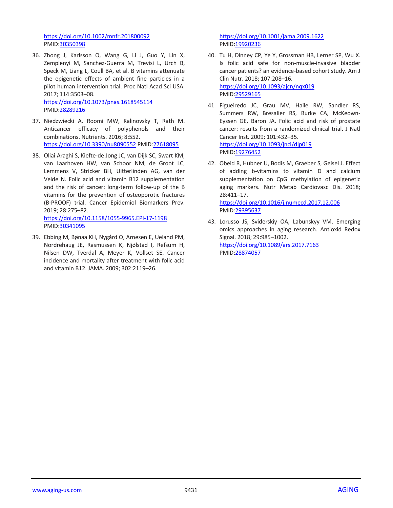<https://doi.org/10.1002/mnfr.201800092> PMID[:30350398](https://pubmed.ncbi.nlm.nih.gov/30350398)

36. Zhong J, Karlsson O, Wang G, Li J, Guo Y, Lin X, Zemplenyi M, Sanchez-Guerra M, Trevisi L, Urch B, Speck M, Liang L, Coull BA, et al. B vitamins attenuate the epigenetic effects of ambient fine particles in a pilot human intervention trial. Proc Natl Acad Sci USA. 2017; 114:3503–08. <https://doi.org/10.1073/pnas.1618545114>

PMID[:28289216](https://pubmed.ncbi.nlm.nih.gov/28289216)

- 37. Niedzwiecki A, Roomi MW, Kalinovsky T, Rath M. Anticancer efficacy of polyphenols and their combinations. Nutrients. 2016; 8:552. <https://doi.org/10.3390/nu8090552> PMID[:27618095](https://pubmed.ncbi.nlm.nih.gov/27618095)
- 38. Oliai Araghi S, Kiefte-de Jong JC, van Dijk SC, Swart KM, van Laarhoven HW, van Schoor NM, de Groot LC, Lemmens V, Stricker BH, Uitterlinden AG, van der Velde N. Folic acid and vitamin B12 supplementation and the risk of cancer: long-term follow-up of the B vitamins for the prevention of osteoporotic fractures (B-PROOF) trial. Cancer Epidemiol Biomarkers Prev. 2019; 28:275–82. <https://doi.org/10.1158/1055-9965.EPI-17-1198> PMID[:30341095](https://pubmed.ncbi.nlm.nih.gov/30341095)
- 39. Ebbing M, Bønaa KH, Nygård O, Arnesen E, Ueland PM, Nordrehaug JE, Rasmussen K, Njølstad I, Refsum H, Nilsen DW, Tverdal A, Meyer K, Vollset SE. Cancer incidence and mortality after treatment with folic acid and vitamin B12. JAMA. 2009; 302:2119–26.

<https://doi.org/10.1001/jama.2009.1622> PMI[D:19920236](https://pubmed.ncbi.nlm.nih.gov/19920236)

- 40. Tu H, Dinney CP, Ye Y, Grossman HB, Lerner SP, Wu X. Is folic acid safe for non-muscle-invasive bladder cancer patients? an evidence-based cohort study. Am J Clin Nutr. 2018; 107:208–16. <https://doi.org/10.1093/ajcn/nqx019> PMI[D:29529165](https://pubmed.ncbi.nlm.nih.gov/29529165)
- 41. Figueiredo JC, Grau MV, Haile RW, Sandler RS, Summers RW, Bresalier RS, Burke CA, McKeown-Eyssen GE, Baron JA. Folic acid and risk of prostate cancer: results from a randomized clinical trial. J Natl Cancer Inst. 2009; 101:432–35. <https://doi.org/10.1093/jnci/djp019> PMI[D:19276452](https://pubmed.ncbi.nlm.nih.gov/19276452)
- 42. Obeid R, Hübner U, Bodis M, Graeber S, Geisel J. Effect of adding b-vitamins to vitamin D and calcium supplementation on CpG methylation of epigenetic aging markers. Nutr Metab Cardiovasc Dis. 2018; 28:411–17. <https://doi.org/10.1016/j.numecd.2017.12.006> PMI[D:29395637](https://pubmed.ncbi.nlm.nih.gov/29395637)
- 43. Lorusso JS, Sviderskiy OA, Labunskyy VM. Emerging omics approaches in aging research. Antioxid Redox Signal. 2018; 29:985–1002. <https://doi.org/10.1089/ars.2017.7163> PMI[D:28874057](https://pubmed.ncbi.nlm.nih.gov/28874057)